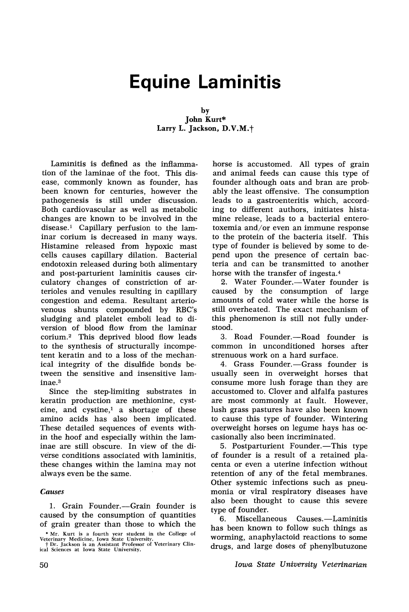# **Equine Laminitis**

#### by John Kurt\* Larry L. Jackson, D.V.M.<sup>+</sup>

Laminitis is defined as the inflammation of the laminae of the foot. This disease, commonly known as founder, has been known for centuries, however the pathogenesis is still under discussion. Both cardiovascular as well as metabolic changes are known to be involved in the disease.! Capillary perfusion to the laminar corium is decreased in many ways. Histamine released from hypoxic mast cells causes capillary dilation. Bacterial endotoxin released during both alimentary and post-parturient laminitis causes circulatory changes of constriction of arterioles and venules resulting in capillary congestion and edema. Resultant arteriovenous shunts compounded by RBC's sludging and platelet emboli lead to diversion of blood flow from the laminar corium.<sup>2</sup> This deprived blood flow leads to the synthesis of structurally incompetent keratin and to a loss of the mechanical integrity of the disulfide bonds between the sensitive and insensitive laminae. <sup>3</sup>

Since the step-limiting substrates in keratin production are methionine, cysteine, and cystine, $\frac{1}{1}$  a shortage of these amino acids has also been implicated. These detailed sequences of events within the hoof and especially within the laminae are still obscure. In view of the diverse conditions associated with laminitis, these changes within the lamina may not always even be the same.

### *Causes*

1. Grain Founder.-Grain founder is caused by the consumption of quantities of grain greater than those to which the

if< Mr. Kurt is a fourth year student in the College of Veterinary Medicine, Iowa State University. t Dr. Jackson is an Assistant Professor of Veterinary Clin· kal Sciences at Iowa State University.

horse is accustomed. All types of grain and animal feeds can cause this type of founder although oats and bran are probably the least offensive. The consumption leads to a gastroenteritis which, according to different authors, initiates histamine release, leads to a bacterial enterotoxemia and/or even an immune response to the protein of the bacteria itself. This type of founder is believed by some to depend upon the presence of certain bacteria and can be transmitted to another horse with the transfer of ingesta.<sup>4</sup>

2. Water Founder.-Water founder is caused by the consumption of large amounts of cold water while the horse is still overheated. The exact mechanism of this phenomenon is still not fully understood.

3. Road Founder.-Road founder is common in unconditioned horses after strenuous work on a hard surface.

4. Grass Founder.-Grass founder is usually seen in overweight horses that consume more lush forage than they are accustomed to. Clover and alfalfa pastures are most commonly at fault. However, lush grass pastures have also been known to cause this type of founder. Wintering overweight horses on legume hays has occasionally also been incriminated.

5. Postparturient Founder.—This type of founder is a result of a retained placenta or even a uterine infection without retention of any of the fetal membranes. Other systemic infections such as pneumonia or viral respiratory diseases have also been thought to cause this severe type of founder.

6. Miscellaneous Causes.-Laminitis has been known to follow such things as worming, anaphylactoid reactions to some drugs, and large doses of phenylbutuzone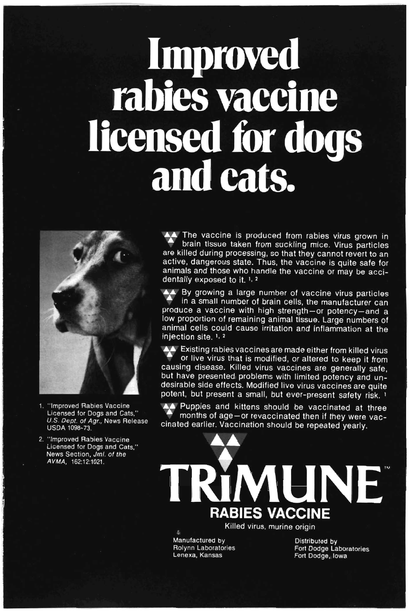# Improved rabies vaccine licensed for dogs<br>and cats.



- 1. "Improved Rabies Vaccine Licensed for Dogs and Cats," U.S. Dept. of Agr., News Release **USDA 1098-73.**
- 2. "Improved Rabies Vaccine Licensed for Dogs and Cats." News Section, Jrnl. of the AVMA, 162:12:1021.

AA The vaccine is produced from rabies virus grown in brain tissue taken from suckling mice. Virus particles are killed during processing, so that they cannot revert to an active, dangerous state. Thus, the vaccine is quite safe for animals and those who handle the vaccine or may be accidentally exposed to it. 1, 2

A. By growing a large number of vaccine virus particles in a small number of brain cells, the manufacturer can produce a vaccine with high strength-or potency-and a low proportion of remaining animal tissue. Large numbers of animal cells could cause irritation and inflammation at the injection site. 1, 2

A Existing rabies vaccines are made either from killed virus or live virus that is modified, or altered to keep it from causing disease. Killed virus vaccines are generally safe, but have presented problems with limited potency and undesirable side effects. Modified live virus vaccines are quite potent, but present a small, but ever-present safety risk. 1

AA Puppies and kittens should be vaccinated at three months of age-or revaccinated then if they were vaccinated earlier. Vaccination should be repeated yearly.

MUNE **RABIES VACCINE** 

Killed virus, murine origin

Manufactured by Rolynn Laboratories Lenexa, Kansas

**Distributed by** Fort Dodge Laboratories Fort Dodge, Iowa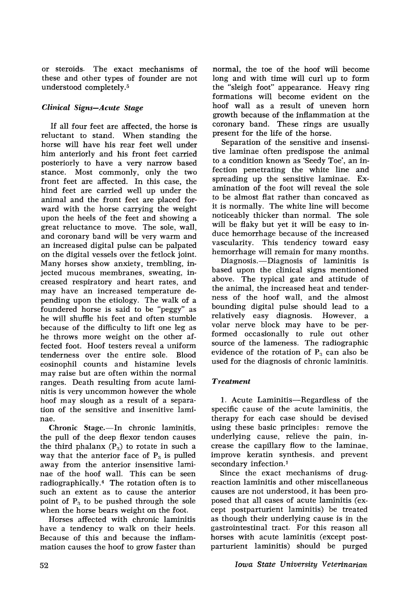or steroids. The exact mechanisms of these and other types of founder are not understood completely.5

# *Clinical Signs-Acute Stage*

If all four feet are affected, the horse is reluctant to stand. When standing the horse will have his rear feet well under him anteriorly and his front feet carried posteriorly to have a very narrow based stance. Most commonly, only the two front feet are affected. In this case, the hind feet are carried well up under the animal and the front feet are placed forward with the horse carrying the weight upon the heels of the feet and showing a great reluctance to move. The sole, wall, and coronary band will be very warm and an increased digital pulse can be palpated on the digital vessels over the fetlock joint. Many horses show anxiety, trembling, injected mucous membranes, sweating, increased respiratory and heart rates, and may have an increased temperature depending upon the etiology. The walk of a foundered horse is said to be "peggy" as he will shuffle his feet and often stumble because of the difficulty to lift one leg as he throws more weight on the other affected foot. Hoof testers reveal a uniform tenderness over the entire sale. Blood eosinophil counts and histamine levels may raise but are often within the normal ranges. Death resulting from acute laminitis is very uncommon however the whole hoof may slough as a result of a separation of the sensitive and insenitive laminae.

 $Chronic$  Stage.—In chronic laminitis, the pull of the deep flexor tendon causes the third phalanx  $(P_3)$  to rotate in such a way that the anterior face of  $P_3$  is pulled away from the anterior insensitive laminae of the hoof wall. This can be seen radiographically.4 The rotation often is to such an extent as to cause the anterior point of  $P_3$  to be pushed through the sole when the horse bears weight on the foot.

Horses affected with chronic laminitis have a tendency to walk on their heels. Because of this and because the inflammation causes the hoof to grow faster than normal, the toe of the hoof will become long and with time will curl up to form the "sleigh foot" appearance. Heavy ring formations will become evident on the hoof wall as a result of uneven horn growth because of the inflammation at the coronary band. These rings are usually present for the life of the horse.

Separation of the sensitive and insensitive laminae often predispose the animal to a condition known as 'Seedy Toe', an infection penetrating the white line and spreading up the sensitive laminae. Examination of the foot will reveal the sole to be almost flat rather than concaved as it is normally. The white line will become noticeably thicker than normal. The sole will be flaky but yet it will be easy to induce hemorrhage because of the increased vascularity. This tendency toward easy hemorrhage will remain for many months.

Diagnosis.-Diagnosis of laminitis is based upon the clinical signs mentioned above. The typical gate and attitude of the animal, the increased heat and tenderness of the hoof wall, and the almost bounding digital pulse should lead to a relatively easy diagnosis. However, a volar nerve block may have to be performed occasionally to rule out other source of the lameness. The radiographic evidence of the rotation of  $P_3$  can also be used for the diagnosis of chronic laminitis,

# *Treatment*

1. Acute Laminitis-Regardless of the specific cause of the acute laminitis, the therapy for each case should be devised using these basic principles: remove the underlying cause, relieve the pain, increase the capillary flow to the laminae, improve keratin synthesis, and prevent secondary infection.<sup>1</sup>

Since the exact mechanisms of drugreaction laminitis and other miscellaneous causes are not understood, it has been proposed that all cases of acute laminitis (except postparturient laminitis) be treated as though their underlying cause is in the gastrointestinal tract. For this reason all horses with acute laminitis (except postparturient laminitis) should be purged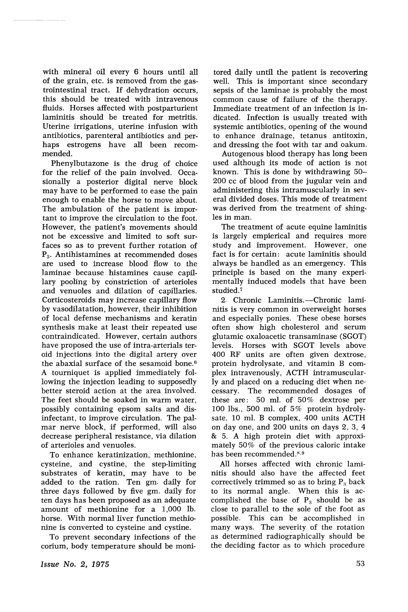with mineral oil every 6 hours until all of the grain, etc. is removed from the gastrointestinal tract. If dehydration occurs, this should be treated with intravenous fluids. Horses affected with postparturient laminitis should be treated for metritis. Uterine irrigations, uterine infusion with antibiotics, parenteral antibiotics and perhaps estrogens have all been recommended.

Phenylbutazone is the drug of choice for the relief of the pain involved. Occasionally a posterior digital nerve block may have to be performed to ease the pain enough to enable the horse to move about. The ambulation of the patient is important to improve the circulation to the foot. However, the patient's movements should not be excessive and limited to soft surfaces so as to prevent further rotation of  $P<sub>3</sub>$ . Antihistamines at recommended doses are used to increase blood flow to the laminae because histamines cause capillary pooling by constriction of arterioles and venuoles and dilation of capillaries. Corticosteroids may increase capillary flow by vasodilatation, however, their inhibition of local defense mechanisms and keratin synthesis make at least their repeated use contraindicated. However, certain authors have proposed the use of intra-arterials teroid injections into the digital artery over the abaxial surface of the sesamoid bone. <sup>6</sup> A tourniquet is applied immediately following the injection leading to supposedly better steroid action at the area involved. The feet should be soaked in warm water, possibly containing epsom salts and disinfectant, to improve circulation. The palmar nerve block, if performed, will also decrease peripheral resistance, via dilation of arterioles and vepuoles.

To enhance keratinization, methionine, cysteine, and cystine, the step-limiting substrates of keratin, may have to be added to the ration. Ten gm. daily for three days followed by five gm. daily for ten days has been proposed as an adequate amount of methionine for a 1,000 lb. horse. With normal liver function methionine is converted to cysteine and cystine.

To prevent secondary infections of the corium, body temperature should be monitored. daily until the patient is recovering well. This is important since secondary sepsis of the laminae is probably the most common cause of failure of the therapy. Immediate treatment of an infection is indicated. Infection is usually treated with systemic antibiotics, opening of the wound to enhance drainage, tetanus antitoxin, and dressing the foot with tar and oakum.

Autogenous blood therapy has long been used although its mode of action is not known. This is done by withdrawing 50- 200 cc of blood from the jugular vein and administering this intramuscularly in several divided doses. This mode of treatment was derived from the treatment of shingles in man.

The treatment of acute equine laminitis is largely empierical and requires more study and improvement. However, one fact is for certain: acute laminitis should always be handled as an emergency. This principle is based on the many experimentally induced models that have been studied.<sup>7</sup>

2. Chronic Laminitis.-Chronic laminitis is very common in overweight horses and especially ponies. These obese horses often show high cholesterol and serum glutamic oxaloacetic transaminase (SGOT) levels. Horses with SGOT levels above 400 RF units are often given dextrose, protein hydrolysate, and vitamin B complex intravenously, ACTH intramuscularly and placed on a reducing diet when necessary. The recommended dosages of these are: 50 ml. of 50% dextrose per 100 lbs., SOD ml. of 5% protein hydrolysate, 10 ml. B complex, 400 units ACTH on day one, and 200 units on days 2, 3, 4 & 5. A high protein diet with approximately 50% of the previous caloric intake has been recommended.<sup>8,9</sup>

All horses affected with chronic laminitis should also have the affected feet correctively trimmed so as to bring  $P_3$  back to its normal angle. When this is accomplished the base of  $P_3$  should be as close to parallel to the sole of the foot as possible. This can be accomplished in many ways. The severity of the rotation as determined radiographically should be the deciding factor as to which procedure

*Issue No.2, 1975*